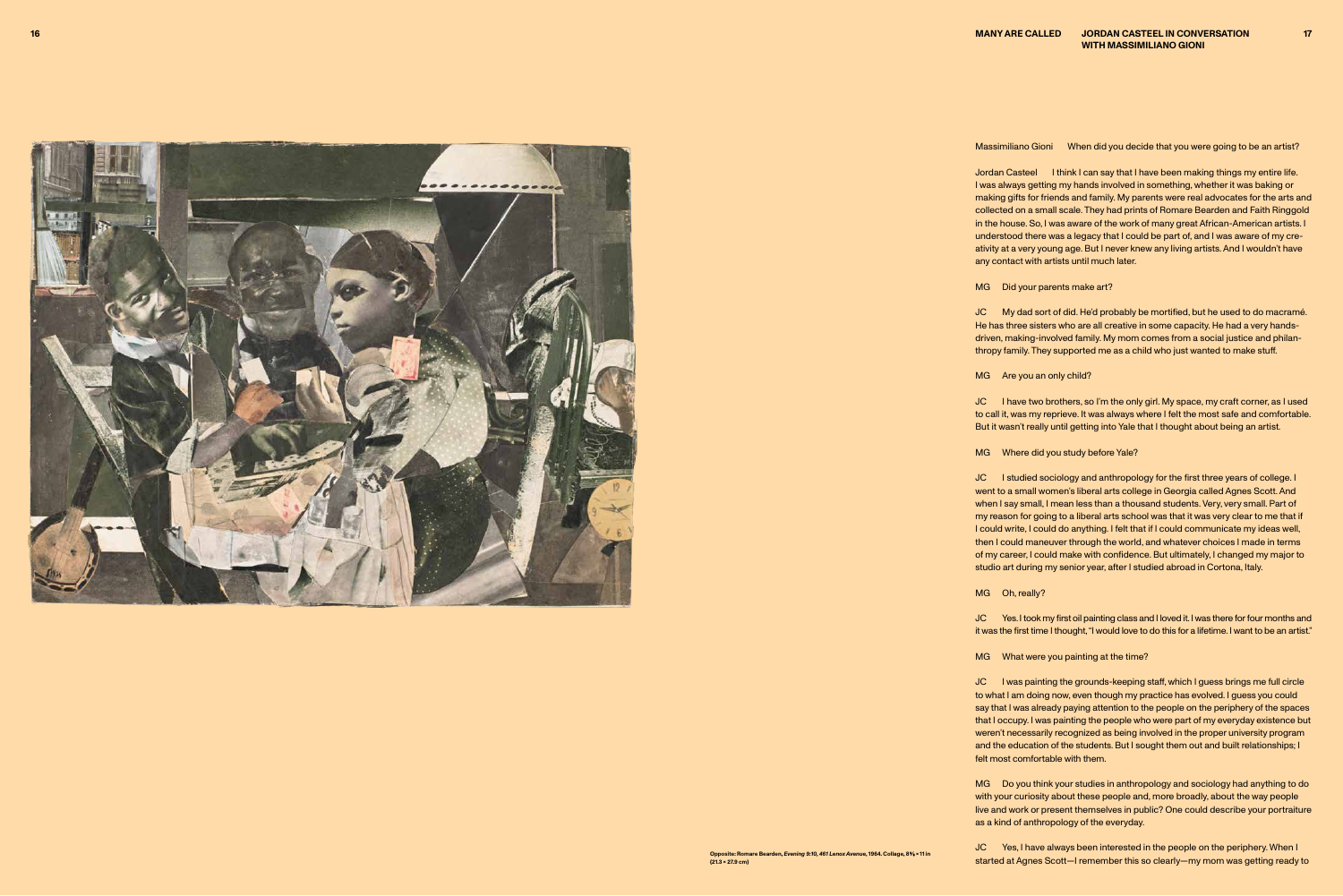Massimiliano Gioni When did you decide that you were going to be an artist?



Jordan Casteel I think I can say that I have been making things my entire life. I was always getting my hands involved in something, whether it was baking or making gifts for friends and family. My parents were real advocates for the arts and collected on a small scale. They had prints of Romare Bearden and Faith Ringgold in the house. So, I was aware of the work of many great African-American artists. I understood there was a legacy that I could be part of, and I was aware of my cre ativity at a very young age. But I never knew any living artists. And I wouldn't have any contact with artists until much later.

MG Did your parents make art?

JC I have two brothers, so I'm the only girl. My space, my craft corner, as I used to call it, was my reprieve. It was always where I felt the most safe and comfortable. But it wasn't really until getting into Yale that I thought about being an artist.

MG Where did you study before Yale?

JC My dad sort of did. He'd probably be mortified, but he used to do macramé. He has three sisters who are all creative in some capacity. He had a very handsdriven, making-involved family. My mom comes from a social justice and philanthropy family. They supported me as a child who just wanted to make stuff.

JC I studied sociology and anthropology for the first three years of college. I went to a small women's liberal arts college in Georgia called Agnes Scott. And when I say small, I mean less than a thousand students. Very, very small. Part of my reason for going to a liberal arts school was that it was very clear to me that if I could write, I could do anything. I felt that if I could communicate my ideas well, then I could maneuver through the world, and whatever choices I made in terms of my career, I could make with confidence. But ultimately, I changed my major to studio art during my senior year, after I studied abroad in Cortona, Italy.

MG Are you an only child?

JC I was painting the grounds-keeping staff, which I guess brings me full circle to what I am doing now, even though my practice has evolved. I guess you could say that I was already paying attention to the people on the periphery of the spaces that I occupy. I was painting the people who were part of my everyday existence but weren't necessarily recognized as being involved in the proper university program and the education of the students. But I sought them out and built relationships; I felt most comfortable with them.

MG Do you think your studies in anthropology and sociology had anything to do with your curiosity about these people and, more broadly, about the way people live and work or present themselves in public? One could describe your portraiture as a kind of anthropology of the everyday.

JC Yes, I have always been interested in the people on the periphery. When I started at Agnes Scott—I remember this so clearly—my mom was getting ready to

MG Oh, really?

JC Yes. I took my first oil painting class and I loved it. I was there for four months and it was the first time I thought, "I would love to do this for a lifetime. I want to be an artist."

MG What were you painting at the time?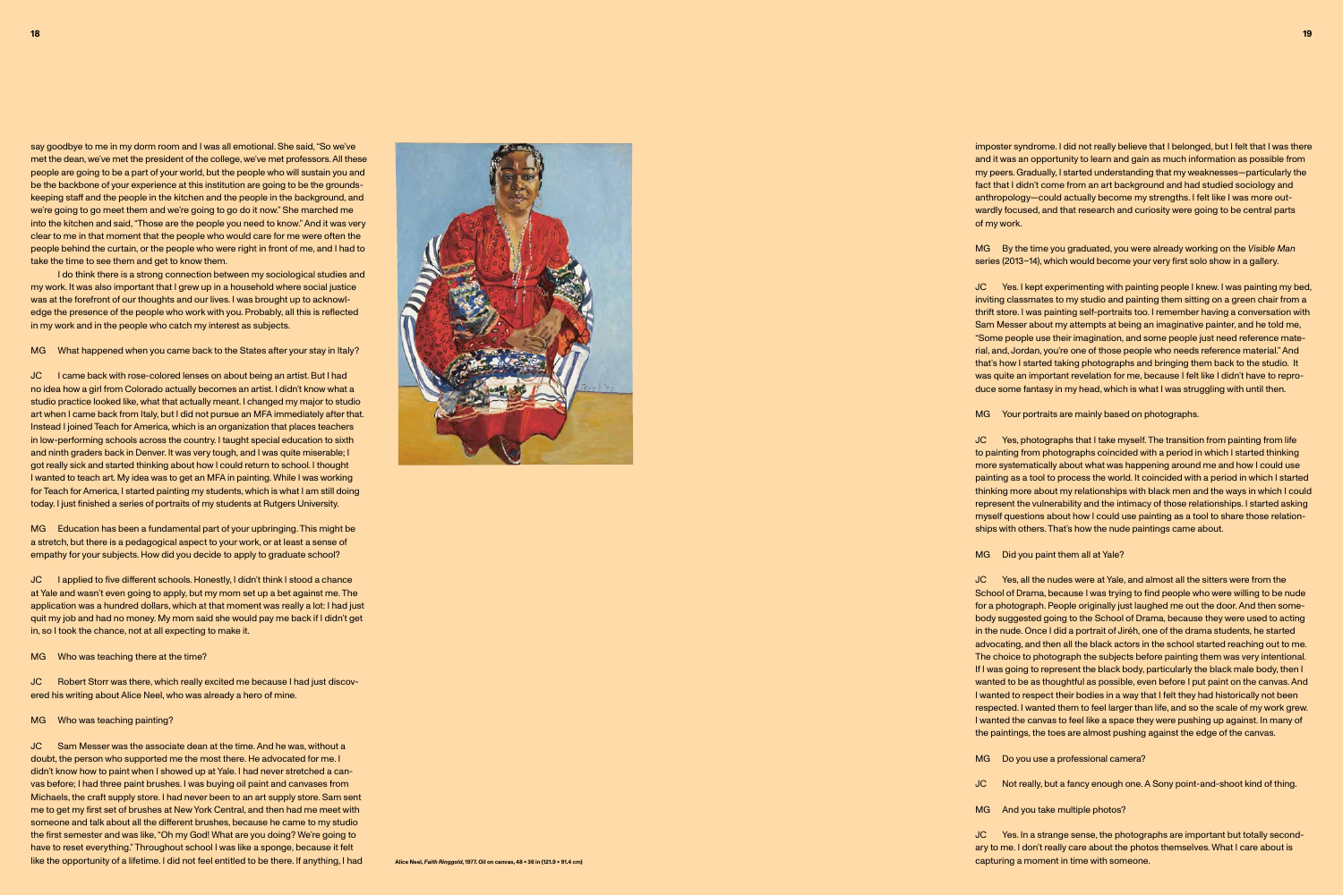imposter syndrome. I did not really believe that I belonged, but I felt that I was there and it was an opportunity to learn and gain as much information as possible from my peers. Gradually, I started understanding that my weaknesses—particularly the fact that I didn't come from an art background and had studied sociology and anthropology—could actually become my strengths. I felt like I was more outwardly focused, and that research and curiosity were going to be central parts of my work.

MG By the time you graduated, you were already working on the *Visible Man* series (2013–14), which would become your very first solo show in a gallery.

JC Yes. I kept experimenting with painting people I knew. I was painting my bed, inviting classmates to my studio and painting them sitting on a green chair from a thrift store. I was painting self-portraits too. I remember having a conversation with Sam Messer about my attempts at being an imaginative painter, and he told me, "Some people use their imagination, and some people just need reference material, and, Jordan, you're one of those people who needs reference material." And that's how I started taking photographs and bringing them back to the studio. It was quite an important revelation for me, because I felt like I didn't have to reproduce some fantasy in my head, which is what I was struggling with until then.

MG Your portraits are mainly based on photographs.

JC Yes. In a strange sense, the photographs are important but totally secondary to me. I don't really care about the photos themselves. What I care about is Alice Neel, Faith Ringgold, 1977. Oil on canvas, 48 x 36 in (121.9 x 91.4 cm) and the control of the control of the control of the control of the control of the control of the control of the control of the control of the c

JC Yes, photographs that I take myself. The transition from painting from life to painting from photographs coincided with a period in which I started thinking more systematically about what was happening around me and how I could use painting as a tool to process the world. It coincided with a period in which I started thinking more about my relationships with black men and the ways in which I could represent the vulnerability and the intimacy of those relationships. I started asking myself questions about how I could use painting as a tool to share those relationships with others. That's how the nude paintings came about.

MG Did you paint them all at Yale?

JC Yes, all the nudes were at Yale, and almost all the sitters were from the School of Drama, because I was trying to find people who were willing to be nude for a photograph. People originally just laughed me out the door. And then somebody suggested going to the School of Drama, because they were used to acting in the nude. Once I did a portrait of Jiréh, one of the drama students, he started advocating, and then all the black actors in the school started reaching out to me. The choice to photograph the subjects before painting them was very intentional. If I was going to represent the black body, particularly the black male body, then I wanted to be as thoughtful as possible, even before I put paint on the canvas. And I wanted to respect their bodies in a way that I felt they had historically not been respected. I wanted them to feel larger than life, and so the scale of my work grew. I wanted the canvas to feel like a space they were pushing up against. In many of the paintings, the toes are almost pushing against the edge of the canvas.

MG Do you use a professional camera?

MG Education has been a fundamental part of your upbringing. This might be a stretch, but there is a pedagogical aspect to your work, or at least a sense of empathy for your subjects. How did you decide to apply to graduate school?

JC I applied to five different schools. Honestly, I didn't think I stood a chance at Yale and wasn't even going to apply, but my mom set up a bet against me. The application was a hundred dollars, which at that moment was really a lot: I had just quit my job and had no money. My mom said she would pay me back if I didn't get in, so I took the chance, not at all expecting to make it.

MG Who was teaching there at the time?

JC Not really, but a fancy enough one. A Sony point-and-shoot kind of thing.

MG And you take multiple photos?

say goodbye to me in my dorm room and I was all emotional. She said, "So we've met the dean, we've met the president of the college, we've met professors. All these people are going to be a part of your world, but the people who will sustain you and be the backbone of your experience at this institution are going to be the groundskeeping staff and the people in the kitchen and the people in the background, and we're going to go meet them and we're going to go do it now." She marched me into the kitchen and said, "Those are the people you need to know." And it was very clear to me in that moment that the people who would care for me were often the people behind the curtain, or the people who were right in front of me, and I had to take the time to see them and get to know them.

I do think there is a strong connection between my sociological studies and my work. It was also important that I grew up in a household where social justice was at the forefront of our thoughts and our lives. I was brought up to acknowledge the presence of the people who work with you. Probably, all this is reflected in my work and in the people who catch my interest as subjects.

MG What happened when you came back to the States after your stay in Italy?

JC I came back with rose-colored lenses on about being an artist. But I had no idea how a girl from Colorado actually becomes an artist. I didn't know what a studio practice looked like, what that actually meant. I changed my major to studio art when I came back from Italy, but I did not pursue an MFA immediately after that. Instead I joined Teach for America, which is an organization that places teachers in low-performing schools across the country. I taught special education to sixth and ninth graders back in Denver. It was very tough, and I was quite miserable; I got really sick and started thinking about how I could return to school. I thought I wanted to teach art. My idea was to get an MFA in painting. While I was working for Teach for America, I started painting my students, which is what I am still doing today. I just finished a series of portraits of my students at Rutgers University.

JC Robert Storr was there, which really excited me because I had just discovered his writing about Alice Neel, who was already a hero of mine.

MG Who was teaching painting?

JC Sam Messer was the associate dean at the time. And he was, without a doubt, the person who supported me the most there. He advocated for me. I didn't know how to paint when I showed up at Yale. I had never stretched a canvas before; I had three paint brushes. I was buying oil paint and canvases from Michaels, the craft supply store. I had never been to an art supply store. Sam sent me to get my first set of brushes at New York Central, and then had me meet with someone and talk about all the different brushes, because he came to my studio the first semester and was like, "Oh my God! What are you doing? We're going to have to reset everything." Throughout school I was like a sponge, because it felt like the opportunity of a lifetime. I did not feel entitled to be there. If anything, I had

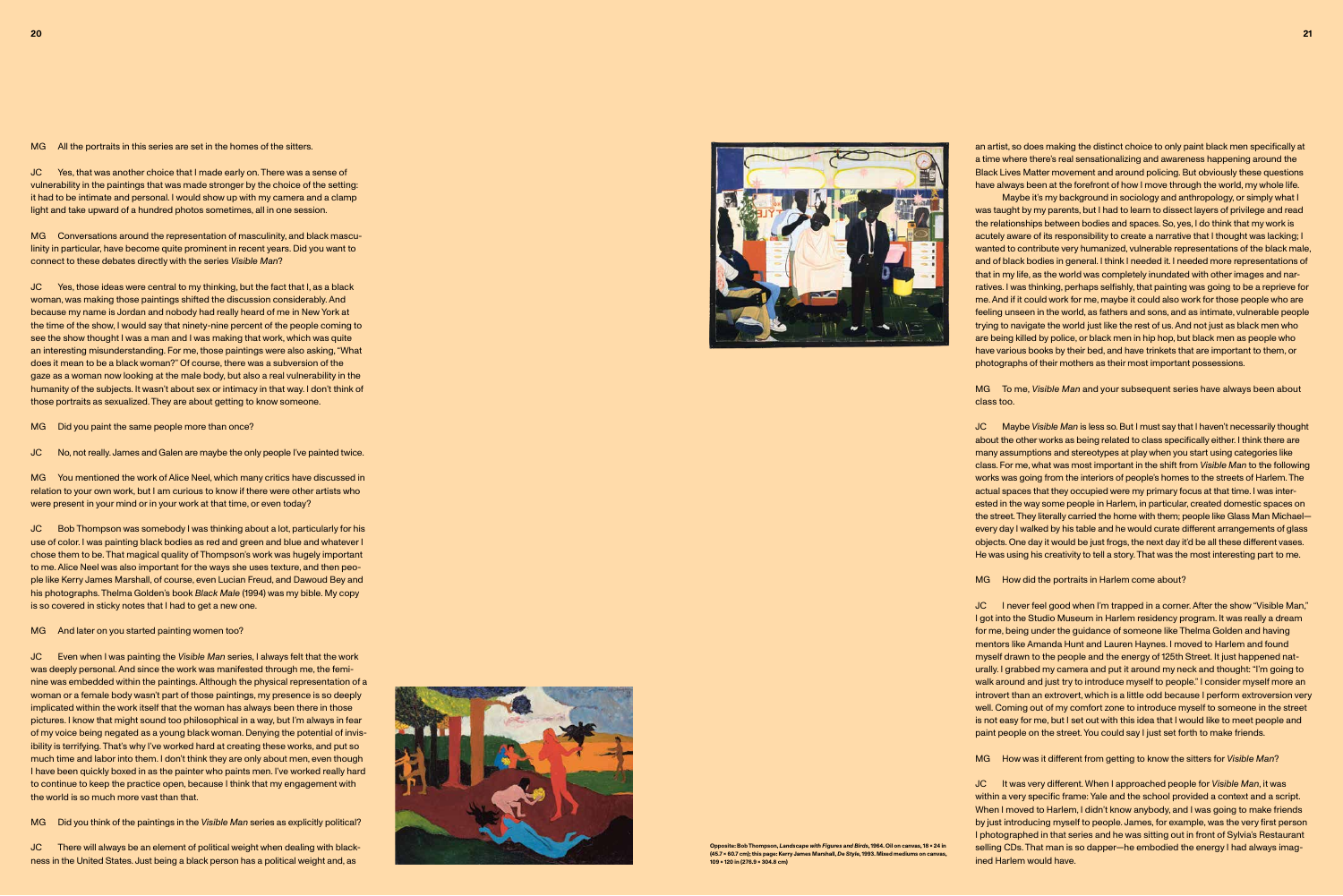an artist, so does making the distinct choice to only paint black men specifically at a time where there's real sensationalizing and awareness happening around the Black Lives Matter movement and around policing. But obviously these questions have always been at the forefront of how I move through the world, my whole life.

Maybe it's my background in sociology and anthropology, or simply what I was taught by my parents, but I had to learn to dissect layers of privilege and read the relationships between bodies and spaces. So, yes, I do think that my work is acutely aware of its responsibility to create a narrative that I thought was lacking; I wanted to contribute very humanized, vulnerable representations of the black male, and of black bodies in general. I think I needed it. I needed more representations of that in my life, as the world was completely inundated with other images and narratives. I was thinking, perhaps selfishly, that painting was going to be a reprieve for me. And if it could work for me, maybe it could also work for those people who are feeling unseen in the world, as fathers and sons, and as intimate, vulnerable people trying to navigate the world just like the rest of us. And not just as black men who are being killed by police, or black men in hip hop, but black men as people who have various books by their bed, and have trinkets that are important to them, or photographs of their mothers as their most important possessions.

MG To me, *Visible Man* and your subsequent series have always been about class too.

JC Maybe *Visible Man* is less so. But I must say that I haven't necessarily thought about the other works as being related to class specifically either. I think there are many assumptions and stereotypes at play when you start using categories like class. For me, what was most important in the shift from *Visible Man* to the following works was going from the interiors of people's homes to the streets of Harlem. The actual spaces that they occupied were my primary focus at that time. I was interested in the way some people in Harlem, in particular, created domestic spaces on the street. They literally carried the home with them; people like Glass Man Michael every day I walked by his table and he would curate different arrangements of glass objects. One day it would be just frogs, the next day it'd be all these different vases. He was using his creativity to tell a story. That was the most interesting part to me.

MG How did the portraits in Harlem come about?

JC I never feel good when I'm trapped in a corner. After the show "Visible Man," I got into the Studio Museum in Harlem residency program. It was really a dream for me, being under the guidance of someone like Thelma Golden and having mentors like Amanda Hunt and Lauren Haynes. I moved to Harlem and found myself drawn to the people and the energy of 125th Street. It just happened naturally. I grabbed my camera and put it around my neck and thought: "I'm going to walk around and just try to introduce myself to people." I consider myself more an introvert than an extrovert, which is a little odd because I perform extroversion very well. Coming out of my comfort zone to introduce myself to someone in the street is not easy for me, but I set out with this idea that I would like to meet people and paint people on the street. You could say I just set forth to make friends.

JC Bob Thompson was somebody I was thinking about a lot, particularly for his use of color. I was painting black bodies as red and green and blue and whatever I chose them to be. That magical quality of Thompson's work was hugely important to me. Alice Neel was also important for the ways she uses texture, and then people like Kerry James Marshall, of course, even Lucian Freud, and Dawoud Bey and his photographs. Thelma Golden's book *Black Male* (1994) was my bible. My copy is so covered in sticky notes that I had to get a new one.

MG And later on you started painting women too?

MG How was it different from getting to know the sitters for *Visible Man*?

JC It was very different. When I approached people for *Visible Man*, it was within a very specific frame: Yale and the school provided a context and a script. When I moved to Harlem, I didn't know anybody, and I was going to make friends by just introducing myself to people. James, for example, was the very first person I photographed in that series and he was sitting out in front of Sylvia's Restaurant selling CDs. That man is so dapper—he embodied the energy I had always imagined Harlem would have.

MG All the portraits in this series are set in the homes of the sitters.

JC Yes, that was another choice that I made early on. There was a sense of vulnerability in the paintings that was made stronger by the choice of the setting: it had to be intimate and personal. I would show up with my camera and a clamp light and take upward of a hundred photos sometimes, all in one session.

MG Conversations around the representation of masculinity, and black masculinity in particular, have become quite prominent in recent years. Did you want to connect to these debates directly with the series *Visible Man*?

JC Yes, those ideas were central to my thinking, but the fact that I, as a black woman, was making those paintings shifted the discussion considerably. And because my name is Jordan and nobody had really heard of me in New York at the time of the show, I would say that ninety-nine percent of the people coming to see the show thought I was a man and I was making that work, which was quite an interesting misunderstanding. For me, those paintings were also asking, "What does it mean to be a black woman?" Of course, there was a subversion of the gaze as a woman now looking at the male body, but also a real vulnerability in the humanity of the subjects. It wasn't about sex or intimacy in that way. I don't think of those portraits as sexualized. They are about getting to know someone.

MG Did you paint the same people more than once?

JC No, not really. James and Galen are maybe the only people I've painted twice.

MG You mentioned the work of Alice Neel, which many critics have discussed in relation to your own work, but I am curious to know if there were other artists who were present in your mind or in your work at that time, or even today?

JC Even when I was painting the *Visible Man* series, I always felt that the work was deeply personal. And since the work was manifested through me, the feminine was embedded within the paintings. Although the physical representation of a woman or a female body wasn't part of those paintings, my presence is so deeply implicated within the work itself that the woman has always been there in those pictures. I know that might sound too philosophical in a way, but I'm always in fear of my voice being negated as a young black woman. Denying the potential of invisibility is terrifying. That's why I've worked hard at creating these works, and put so much time and labor into them. I don't think they are only about men, even though I have been quickly boxed in as the painter who paints men. I've worked really hard to continue to keep the practice open, because I think that my engagement with the world is so much more vast than that.

MG Did you think of the paintings in the *Visible Man* series as explicitly political?

JC There will always be an element of political weight when dealing with blackness in the United States. Just being a black person has a political weight and, as



**Opposite: Bob Thompson,** *Landscape with Figures and Birds***, 1964. Oil on canvas, 18 x 24 in (45.7 × 60.7 cm); this page: Kerry James Marshall,** *De Style***, 1993. Mixed mediums on canvas, 109 × 120 in (276.9 x 304.8 cm)**

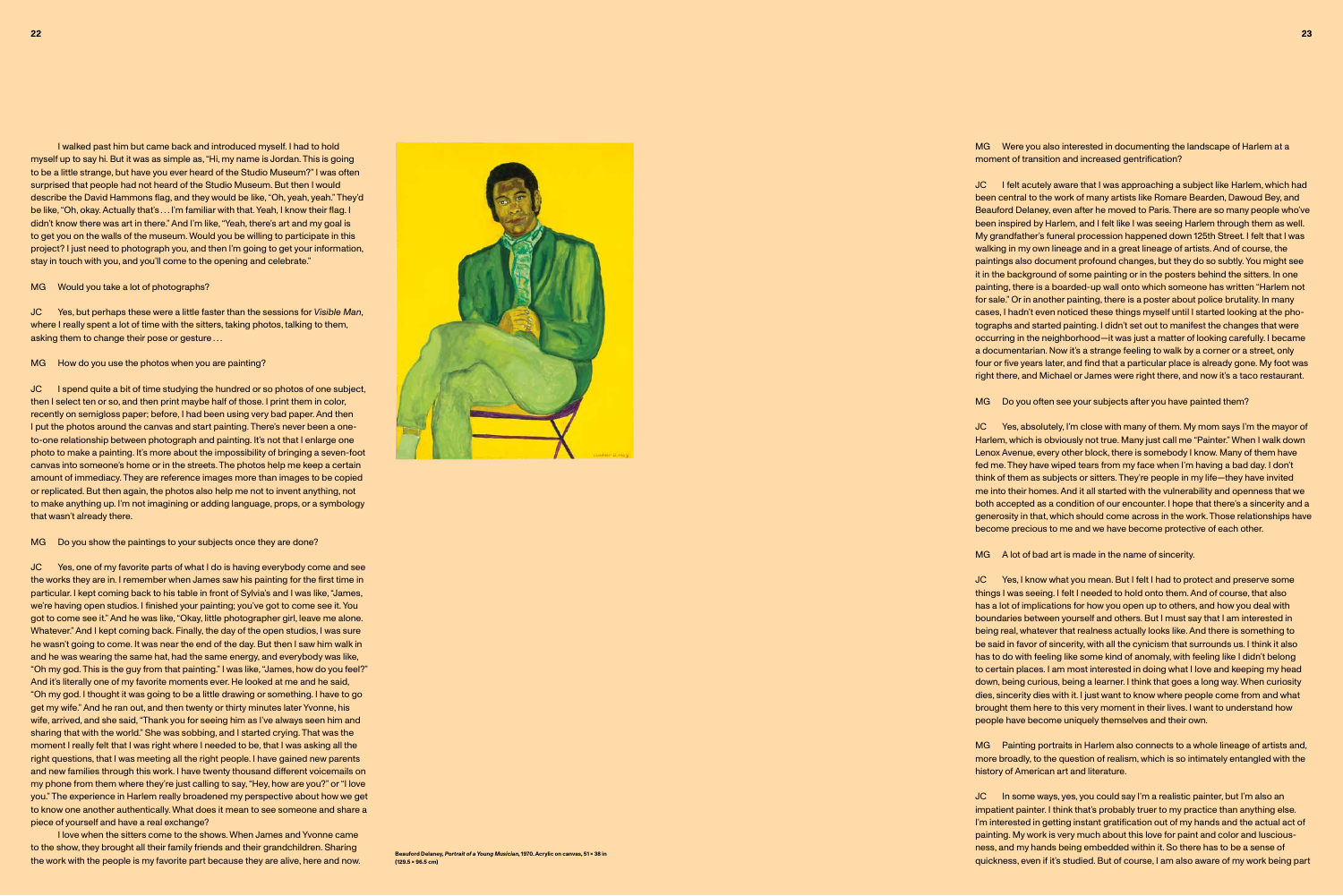MG Were you also interested in documenting the landscape of Harlem at a moment of transition and increased gentrification?

JC I felt acutely aware that I was approaching a subject like Harlem, which had been central to the work of many artists like Romare Bearden, Dawoud Bey, and Beauford Delaney, even after he moved to Paris. There are so many people who've been inspired by Harlem, and I felt like I was seeing Harlem through them as well. My grandfather's funeral procession happened down 125th Street. I felt that I was walking in my own lineage and in a great lineage of artists. And of course, the paintings also document profound changes, but they do so subtly. You might see it in the background of some painting or in the posters behind the sitters. In one painting, there is a boarded-up wall onto which someone has written "Harlem not for sale." Or in another painting, there is a poster about police brutality. In many cases, I hadn't even noticed these things myself until I started looking at the photographs and started painting. I didn't set out to manifest the changes that were occurring in the neighborhood—it was just a matter of looking carefully. I became a documentarian. Now it's a strange feeling to walk by a corner or a street, only four or five years later, and find that a particular place is already gone. My foot was right there, and Michael or James were right there, and now it's a taco restaurant.

MG Do you often see your subjects after you have painted them?

JC Yes, absolutely, I'm close with many of them. My mom says I'm the mayor of Harlem, which is obviously not true. Many just call me "Painter." When I walk down Lenox Avenue, every other block, there is somebody I know. Many of them have fed me. They have wiped tears from my face when I'm having a bad day. I don't think of them as subjects or sitters. They're people in my life—they have invited me into their homes. And it all started with the vulnerability and openness that we both accepted as a condition of our encounter. I hope that there's a sincerity and a generosity in that, which should come across in the work. Those relationships have become precious to me and we have become protective of each other.

MG A lot of bad art is made in the name of sincerity.

JC Yes, but perhaps these were a little faster than the sessions for *Visible Man*, where I really spent a lot of time with the sitters, taking photos, talking to them, asking them to change their pose or gesture ...

MG How do you use the photos when you are painting?

JC Yes, I know what you mean. But I felt I had to protect and preserve some things I was seeing. I felt I needed to hold onto them. And of course, that also has a lot of implications for how you open up to others, and how you deal with boundaries between yourself and others. But I must say that I am interested in being real, whatever that realness actually looks like. And there is something to be said in favor of sincerity, with all the cynicism that surrounds us. I think it also has to do with feeling like some kind of anomaly, with feeling like I didn't belong to certain places. I am most interested in doing what I love and keeping my head down, being curious, being a learner. I think that goes a long way. When curiosity dies, sincerity dies with it. I just want to know where people come from and what brought them here to this very moment in their lives. I want to understand how people have become uniquely themselves and their own.

MG Painting portraits in Harlem also connects to a whole lineage of artists and, more broadly, to the question of realism, which is so intimately entangled with the history of American art and literature.

JC In some ways, yes, you could say I'm a realistic painter, but I'm also an impatient painter. I think that's probably truer to my practice than anything else. I'm interested in getting instant gratification out of my hands and the actual act of painting. My work is very much about this love for paint and color and lusciousness, and my hands being embedded within it. So there has to be a sense of quickness, even if it's studied. But of course, I am also aware of my work being part

I love when the sitters come to the shows. When James and Yvonne came to the show, they brought all their family friends and their grandchildren. Sharing the work with the people is my favorite part because they are alive, here and now.<br>
the work with the people is my favorite part because they are alive, here and now. (129.5 × 96.5 cm)



I walked past him but came back and introduced myself. I had to hold myself up to say hi. But it was as simple as, "Hi, my name is Jordan. This is going to be a little strange, but have you ever heard of the Studio Museum?" I was often surprised that people had not heard of the Studio Museum. But then I would describe the David Hammons flag, and they would be like, "Oh, yeah, yeah." They'd be like, "Oh, okay. Actually that's . . . I'm familiar with that. Yeah, I know their flag. I didn't know there was art in there." And I'm like, "Yeah, there's art and my goal is to get you on the walls of the museum. Would you be willing to participate in this project? I just need to photograph you, and then I'm going to get your information, stay in touch with you, and you'll come to the opening and celebrate."

MG Would you take a lot of photographs?

JC I spend quite a bit of time studying the hundred or so photos of one subject, then I select ten or so, and then print maybe half of those. I print them in color, recently on semigloss paper; before, I had been using very bad paper. And then I put the photos around the canvas and start painting. There's never been a oneto-one relationship between photograph and painting. It's not that I enlarge one photo to make a painting. It's more about the impossibility of bringing a seven-foot canvas into someone's home or in the streets. The photos help me keep a certain amount of immediacy. They are reference images more than images to be copied or replicated. But then again, the photos also help me not to invent anything, not to make anything up. I'm not imagining or adding language, props, or a symbology that wasn't already there.

## MG Do you show the paintings to your subjects once they are done?

JC Yes, one of my favorite parts of what I do is having everybody come and see the works they are in. I remember when James saw his painting for the first time in particular. I kept coming back to his table in front of Sylvia's and I was like, "James, we're having open studios. I finished your painting; you've got to come see it. You got to come see it." And he was like, "Okay, little photographer girl, leave me alone. Whatever." And I kept coming back. Finally, the day of the open studios, I was sure he wasn't going to come. It was near the end of the day. But then I saw him walk in and he was wearing the same hat, had the same energy, and everybody was like, "Oh my god. This is the guy from that painting." I was like, "James, how do you feel?" And it's literally one of my favorite moments ever. He looked at me and he said, "Oh my god. I thought it was going to be a little drawing or something. I have to go get my wife." And he ran out, and then twenty or thirty minutes later Yvonne, his wife, arrived, and she said, "Thank you for seeing him as I've always seen him and sharing that with the world." She was sobbing, and I started crying. That was the moment I really felt that I was right where I needed to be, that I was asking all the right questions, that I was meeting all the right people. I have gained new parents and new families through this work. I have twenty thousand different voicemails on my phone from them where they're just calling to say, "Hey, how are you?" or "I love you." The experience in Harlem really broadened my perspective about how we get to know one another authentically. What does it mean to see someone and share a piece of yourself and have a real exchange?

**(129.5 × 96.5 cm)**